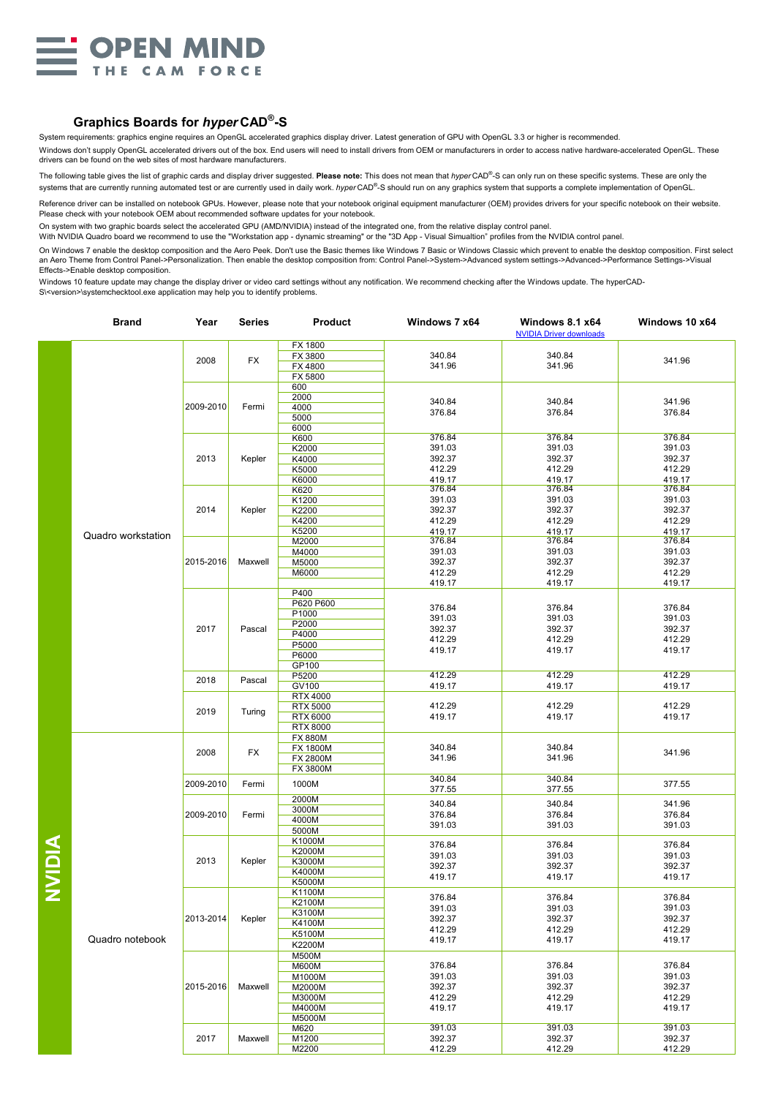

## **Graphics Boards for** *hyper* **CAD® -S**

System requirements: graphics engine requires an OpenGL accelerated graphics display driver. Latest generation of GPU with OpenGL 3.3 or higher is recommended.

Windows don't supply OpenGL accelerated drivers out of the box. End users will need to install drivers from OEM or manufacturers in order to access native hardware-accelerated OpenGL. These drivers can be found on the web sites of most hardware manufacturers.

The following table gives the list of graphic cards and display driver suggested. **Please note:** This does not mean that *hyper* CAD® -S can only run on these specific systems. These are only the systems that are currently running automated test or are currently used in daily work. *hyper* CAD<sup>®</sup>-S should run on any graphics system that supports a complete implementation of OpenGL.

Reference driver can be installed on notebook GPUs. However, please note that your notebook original equipment manufacturer (OEM) provides drivers for your specific notebook on their website. Please check with your notebook OEM about recommended software updates for your notebook.

On system with two graphic boards select the accelerated GPU (AMD/NVIDIA) instead of the integrated one, from the relative display control panel.

With NVIDIA Quadro board we recommend to use the "Workstation app - dynamic streaming" or the "3D App - Visual Simualtion" profiles from the NVIDIA control panel.

On Windows 7 enable the desktop composition and the Aero Peek. Don't use the Basic themes like Windows 7 Basic or Windows Classic which prevent to enable the desktop composition. First select an Aero Theme from Control Panel->Personalization. Then enable the desktop composition from: Control Panel->System->Advanced system settings->Advanced->Performance Settings->Visual Effects->Enable desktop composition.

Windows 10 feature update may change the display driver or video card settings without any notification. We recommend checking after the Windows update. The hyperCAD-S\<version>\systemchecktool.exe application may help you to identify problems.

|              | <b>Brand</b>       | Year      | Series  | <b>Product</b>                                                          | Windows 7 x64                                            | <b>Windows 8.1 x64</b><br><b>NVIDIA Driver downloads</b> | Windows 10 x64                                           |
|--------------|--------------------|-----------|---------|-------------------------------------------------------------------------|----------------------------------------------------------|----------------------------------------------------------|----------------------------------------------------------|
|              | Quadro workstation | 2008      | FX      | FX 1800<br>FX 3800<br>FX 4800<br>FX 5800                                | 340.84<br>341.96                                         | 340.84<br>341.96                                         | 341.96                                                   |
|              |                    | 2009-2010 | Fermi   | 600<br>2000<br>4000<br>5000                                             | 340.84<br>376.84                                         | 340.84<br>376.84                                         | 341.96<br>376.84                                         |
|              |                    | 2013      | Kepler  | 6000<br>K600<br>K2000<br>K4000<br>K5000                                 | 376.84<br>391.03<br>392.37<br>412.29                     | 376.84<br>391.03<br>392.37<br>412.29                     | 376.84<br>391.03<br>392.37<br>412.29                     |
|              |                    | 2014      | Kepler  | K6000<br>K620<br>K1200<br>K2200<br>K4200                                | 419.17<br>376.84<br>391.03<br>392.37<br>412.29           | 419.17<br>376.84<br>391.03<br>392.37<br>412.29           | 419.17<br>376.84<br>391.03<br>392.37<br>412.29           |
|              |                    | 2015-2016 | Maxwell | K5200<br>M2000<br>M4000<br>M5000<br>M6000                               | 419.17<br>376.84<br>391.03<br>392.37<br>412.29           | 419.17<br>376.84<br>391.03<br>392.37<br>412.29           | 419.17<br>376.84<br>391.03<br>392.37<br>412.29           |
|              |                    | 2017      | Pascal  | P400<br>P620 P600<br>P1000<br>P2000<br>P4000<br>P5000<br>P6000          | 419.17<br>376.84<br>391.03<br>392.37<br>412.29<br>419.17 | 419.17<br>376.84<br>391.03<br>392.37<br>412.29<br>419.17 | 419.17<br>376.84<br>391.03<br>392.37<br>412.29<br>419.17 |
|              |                    | 2018      | Pascal  | GP100<br>P5200<br>GV100                                                 | 412.29<br>419.17                                         | 412.29<br>419.17                                         | 412.29<br>419.17                                         |
|              |                    | 2019      | Turing  | <b>RTX 4000</b><br><b>RTX 5000</b><br>RTX 6000<br><b>RTX 8000</b>       | 412.29<br>419.17                                         | 412.29<br>419.17                                         | 412.29<br>419.17                                         |
|              |                    | 2008      | FX      | <b>FX 880M</b><br><b>FX 1800M</b><br><b>FX 2800M</b><br>FX 3800M        | 340.84<br>341.96                                         | 340.84<br>341.96                                         | 341.96                                                   |
|              |                    | 2009-2010 | Fermi   | 1000M                                                                   | 340.84<br>377.55                                         | 340.84<br>377.55                                         | 377.55                                                   |
| <b>AIDIX</b> |                    | 2009-2010 | Fermi   | 2000M<br>3000M<br>4000M<br>5000M                                        | 340.84<br>376.84<br>391.03                               | 340.84<br>376.84<br>391.03                               | 341.96<br>376.84<br>391.03                               |
|              | Quadro notebook    | 2013      | Kepler  | K1000M<br>K2000M<br>K3000M<br>K4000M<br>K5000M                          | 376.84<br>391.03<br>392.37<br>419.17                     | 376.84<br>391.03<br>392.37<br>419.17                     | 376.84<br>391.03<br>392.37<br>419.17                     |
|              |                    | 2013-2014 | Kepler  | K1100M<br>K2100M<br>K3100M<br>K4100M<br>K5100M<br>K2200M                | 376.84<br>391.03<br>392.37<br>412.29<br>419.17           | 376.84<br>391.03<br>392.37<br>412.29<br>419.17           | 376.84<br>391.03<br>392.37<br>412.29<br>419.17           |
|              |                    | 2015-2016 | Maxwell | M500M<br><b>M600M</b><br>M1000M<br>M2000M<br>M3000M<br>M4000M<br>M5000M | 376.84<br>391.03<br>392.37<br>412.29<br>419.17           | 376.84<br>391.03<br>392.37<br>412.29<br>419.17           | 376.84<br>391.03<br>392.37<br>412.29<br>419.17           |
|              |                    | 2017      | Maxwell | M620<br>M1200<br>M2200                                                  | 391.03<br>392.37<br>412.29                               | 391.03<br>392.37<br>412.29                               | 391.03<br>392.37<br>412.29                               |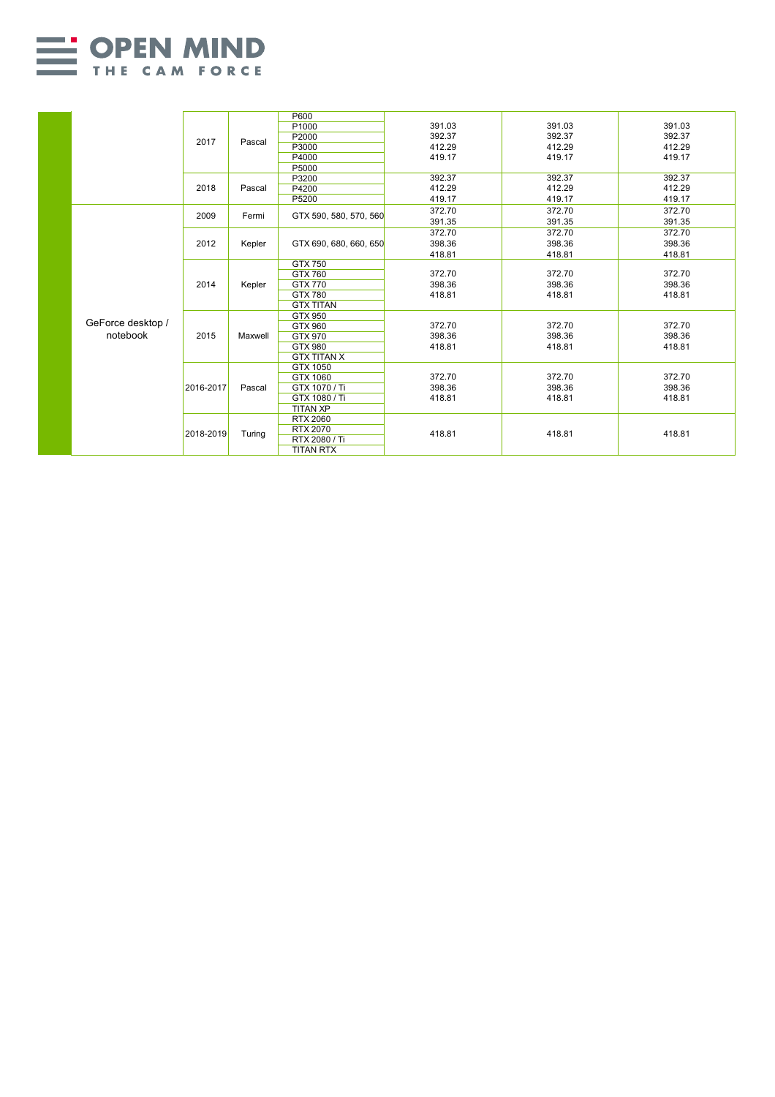

|  |                               |           |         | P600                   |        |        |        |
|--|-------------------------------|-----------|---------|------------------------|--------|--------|--------|
|  |                               | 2017      | Pascal  | P1000                  | 391.03 | 391.03 | 391.03 |
|  |                               |           |         | P2000                  | 392.37 | 392.37 | 392.37 |
|  |                               |           |         | P3000                  | 412.29 | 412.29 | 412.29 |
|  |                               |           |         | P4000                  | 419.17 | 419.17 | 419.17 |
|  |                               |           |         | P5000                  |        |        |        |
|  |                               | 2018      | Pascal  | P3200                  | 392.37 | 392.37 | 392.37 |
|  |                               |           |         | P4200                  | 412.29 | 412.29 | 412.29 |
|  |                               |           |         | P5200                  | 419.17 | 419.17 | 419.17 |
|  |                               | 2009      | Fermi   | GTX 590, 580, 570, 560 | 372.70 | 372.70 | 372.70 |
|  |                               |           |         |                        | 391.35 | 391.35 | 391.35 |
|  |                               | 2012      | Kepler  |                        | 372.70 | 372.70 | 372.70 |
|  |                               |           |         | GTX 690, 680, 660, 650 | 398.36 | 398.36 | 398.36 |
|  |                               |           |         |                        | 418.81 | 418.81 | 418.81 |
|  |                               |           | Kepler  | GTX 750                |        |        |        |
|  |                               |           |         | GTX 760                | 372.70 | 372.70 | 372.70 |
|  |                               | 2014      |         | GTX 770                | 398.36 | 398.36 | 398.36 |
|  |                               |           |         | <b>GTX 780</b>         | 418.81 | 418.81 | 418.81 |
|  | GeForce desktop /<br>notebook |           |         | <b>GTX TITAN</b>       |        |        |        |
|  |                               | 2015      | Maxwell | GTX 950                |        |        |        |
|  |                               |           |         | GTX 960                | 372.70 | 372.70 | 372.70 |
|  |                               |           |         | GTX 970                | 398.36 | 398.36 | 398.36 |
|  |                               |           |         | GTX 980                | 418.81 | 418.81 | 418.81 |
|  |                               |           |         | <b>GTX TITAN X</b>     |        |        |        |
|  |                               |           |         | GTX 1050               |        |        |        |
|  |                               | 2016-2017 | Pascal  | GTX 1060               | 372.70 | 372.70 | 372.70 |
|  |                               |           |         | GTX 1070 / Ti          | 398.36 | 398.36 | 398.36 |
|  |                               |           |         | GTX 1080 / Ti          | 418.81 | 418.81 | 418.81 |
|  |                               |           |         | <b>TITAN XP</b>        |        |        |        |
|  |                               | 2018-2019 | Turing  | <b>RTX 2060</b>        |        |        |        |
|  |                               |           |         | RTX 2070               |        |        |        |
|  |                               |           |         | RTX 2080 / Ti          | 418.81 | 418.81 | 418.81 |
|  |                               |           |         |                        |        |        |        |
|  |                               |           |         | <b>TITAN RTX</b>       |        |        |        |